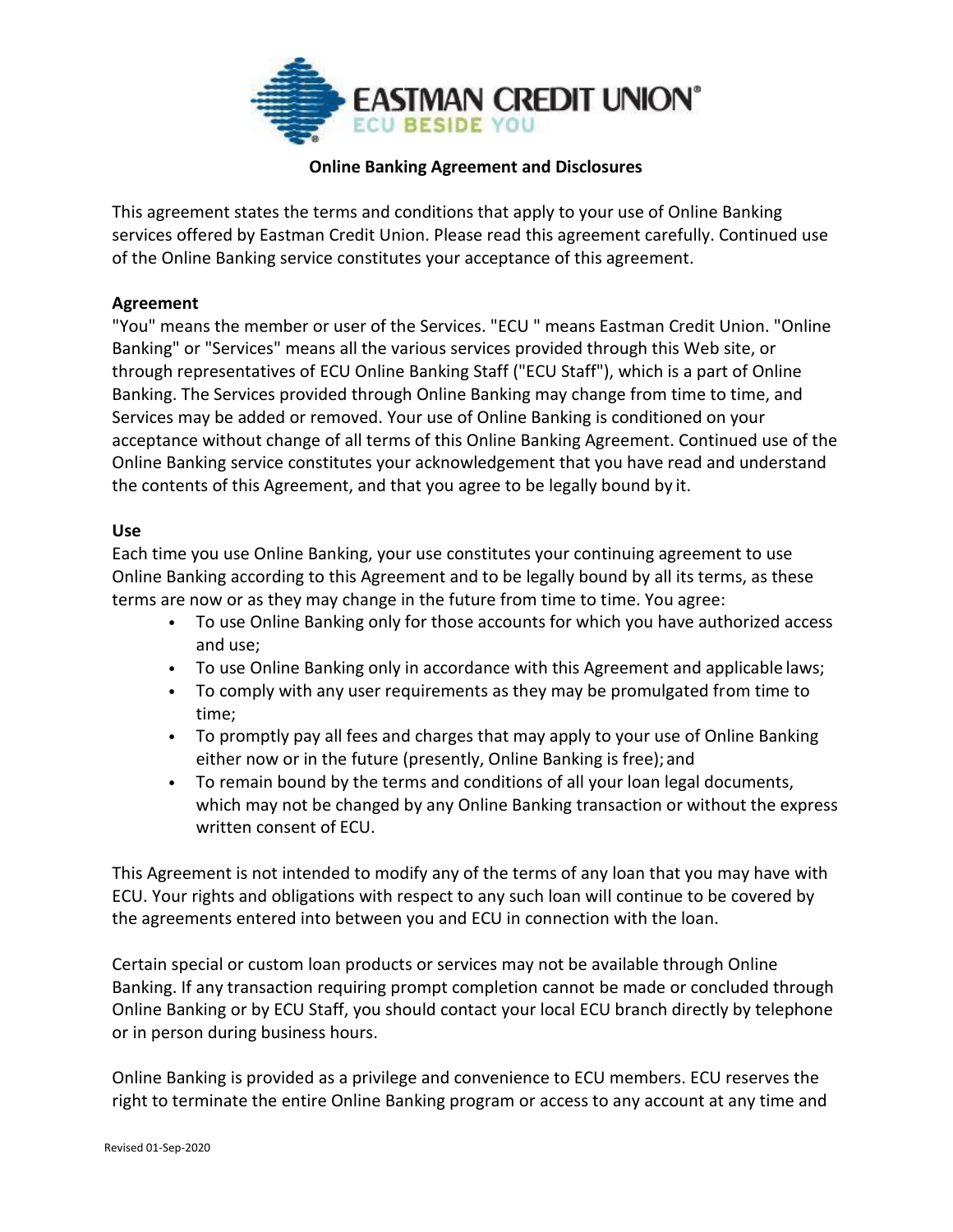

# **Online Banking Agreement and Disclosures**

This agreement states the terms and conditions that apply to your use of Online Banking services offered by Eastman Credit Union. Please read this agreement carefully. Continued use of the Online Banking service constitutes your acceptance of this agreement.

## **Agreement**

"You" means the member or user of the Services. "ECU " means Eastman Credit Union. "Online Banking" or "Services" means all the various services provided through this Web site, or through representatives of ECU Online Banking Staff ("ECU Staff"), which is a part of Online Banking. The Services provided through Online Banking may change from time to time, and Services may be added or removed. Your use of Online Banking is conditioned on your acceptance without change of all terms of this Online Banking Agreement. Continued use of the Online Banking service constitutes your acknowledgement that you have read and understand the contents of this Agreement, and that you agree to be legally bound by it.

## **Use**

Each time you use Online Banking, your use constitutes your continuing agreement to use Online Banking according to this Agreement and to be legally bound by all its terms, as these terms are now or as they may change in the future from time to time. You agree:

- To use Online Banking only for those accounts for which you have authorized access and use;
- To use Online Banking only in accordance with this Agreement and applicable laws;
- To comply with any user requirements as they may be promulgated from time to time;
- To promptly pay all fees and charges that may apply to your use of Online Banking either now or in the future (presently, Online Banking is free); and
- To remain bound by the terms and conditions of all your loan legal documents, which may not be changed by any Online Banking transaction or without the express written consent of ECU.

This Agreement is not intended to modify any of the terms of any loan that you may have with ECU. Your rights and obligations with respect to any such loan will continue to be covered by the agreements entered into between you and ECU in connection with the loan.

Certain special or custom loan products or services may not be available through Online Banking. If any transaction requiring prompt completion cannot be made or concluded through Online Banking or by ECU Staff, you should contact your local ECU branch directly by telephone or in person during business hours.

Online Banking is provided as a privilege and convenience to ECU members. ECU reserves the right to terminate the entire Online Banking program or access to any account at any time and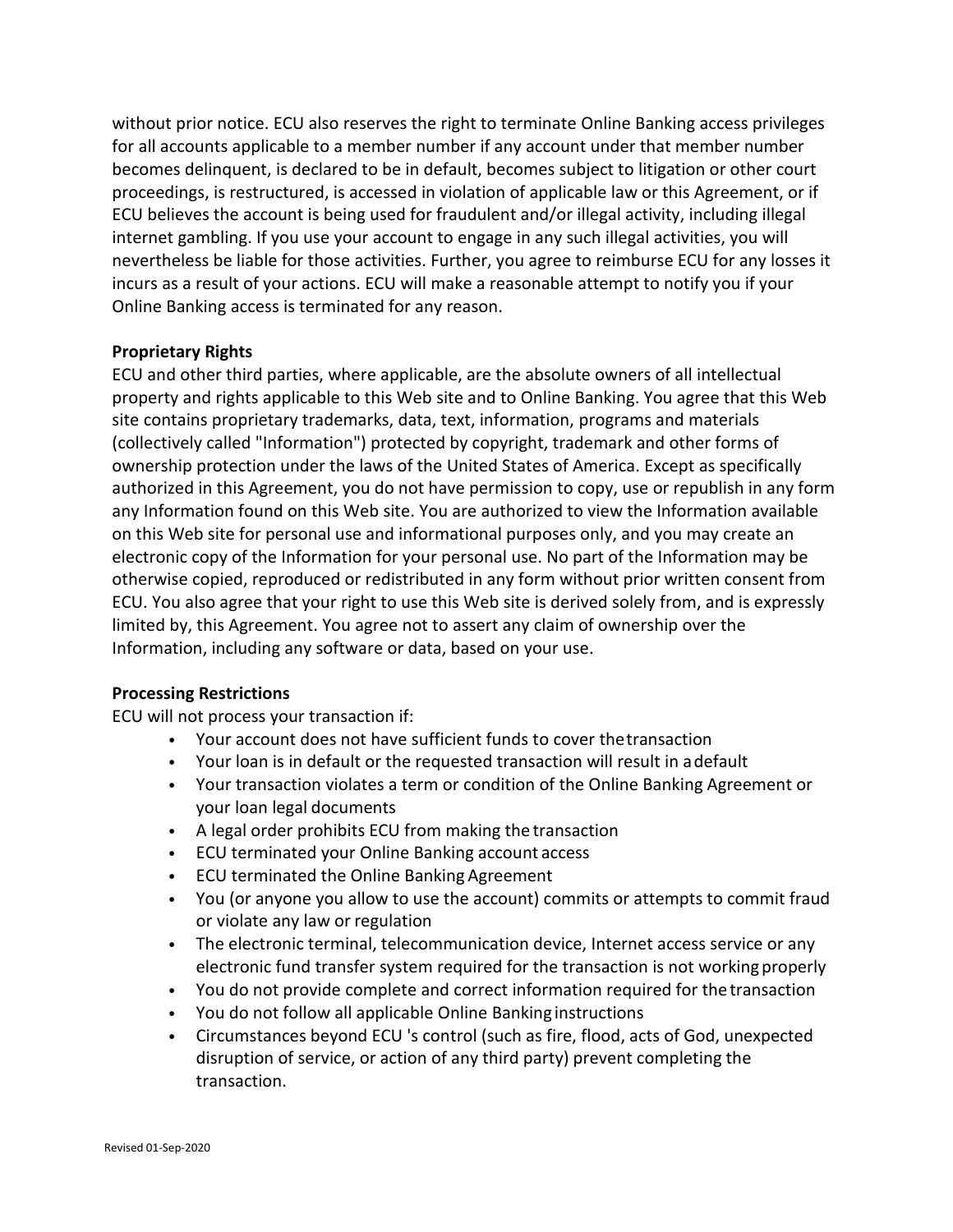without prior notice. ECU also reserves the right to terminate Online Banking access privileges for all accounts applicable to a member number if any account under that member number becomes delinquent, is declared to be in default, becomes subject to litigation or other court proceedings, is restructured, is accessed in violation of applicable law or this Agreement, or if ECU believes the account is being used for fraudulent and/or illegal activity, including illegal internet gambling. If you use your account to engage in any such illegal activities, you will nevertheless be liable for those activities. Further, you agree to reimburse ECU for any losses it incurs as a result of your actions. ECU will make a reasonable attempt to notify you if your Online Banking access is terminated for any reason.

## **Proprietary Rights**

ECU and other third parties, where applicable, are the absolute owners of all intellectual property and rights applicable to this Web site and to Online Banking. You agree that this Web site contains proprietary trademarks, data, text, information, programs and materials (collectively called "Information") protected by copyright, trademark and other forms of ownership protection under the laws of the United States of America. Except as specifically authorized in this Agreement, you do not have permission to copy, use or republish in any form any Information found on this Web site. You are authorized to view the Information available on this Web site for personal use and informational purposes only, and you may create an electronic copy of the Information for your personal use. No part of the Information may be otherwise copied, reproduced or redistributed in any form without prior written consent from ECU. You also agree that your right to use this Web site is derived solely from, and is expressly limited by, this Agreement. You agree not to assert any claim of ownership over the Information, including any software or data, based on your use.

## **Processing Restrictions**

ECU will not process your transaction if:

- Your account does not have sufficient funds to cover the transaction
- Your loan is in default or the requested transaction will result in a default
- Your transaction violates a term or condition of the Online Banking Agreement or your loan legal documents
- A legal order prohibits ECU from making the transaction
- ECU terminated your Online Banking account access
- ECU terminated the Online Banking Agreement
- You (or anyone you allow to use the account) commits or attempts to commit fraud or violate any law or regulation
- The electronic terminal, telecommunication device, Internet access service or any electronic fund transfer system required for the transaction is not working properly
- You do not provide complete and correct information required for the transaction
- You do not follow all applicable Online Banking instructions
- Circumstances beyond ECU 's control (such as fire, flood, acts of God, unexpected disruption of service, or action of any third party) prevent completing the transaction.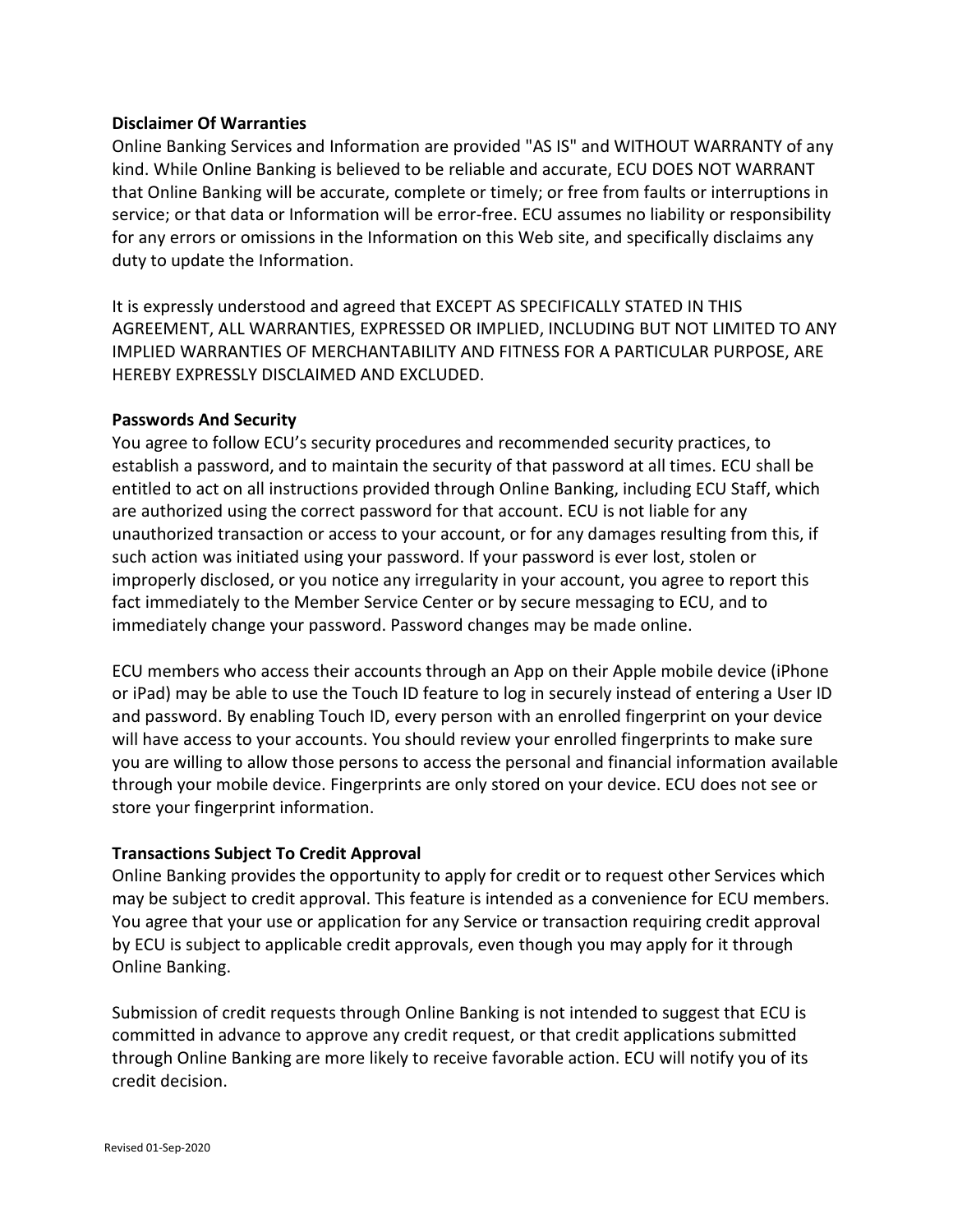## **Disclaimer Of Warranties**

Online Banking Services and Information are provided "AS IS" and WITHOUT WARRANTY of any kind. While Online Banking is believed to be reliable and accurate, ECU DOES NOT WARRANT that Online Banking will be accurate, complete or timely; or free from faults or interruptions in service; or that data or Information will be error-free. ECU assumes no liability or responsibility for any errors or omissions in the Information on this Web site, and specifically disclaims any duty to update the Information.

It is expressly understood and agreed that EXCEPT AS SPECIFICALLY STATED IN THIS AGREEMENT, ALL WARRANTIES, EXPRESSED OR IMPLIED, INCLUDING BUT NOT LIMITED TO ANY IMPLIED WARRANTIES OF MERCHANTABILITY AND FITNESS FOR A PARTICULAR PURPOSE, ARE HEREBY EXPRESSLY DISCLAIMED AND EXCLUDED.

## **Passwords And Security**

You agree to follow ECU's security procedures and recommended security practices, to establish a password, and to maintain the security of that password at all times. ECU shall be entitled to act on all instructions provided through Online Banking, including ECU Staff, which are authorized using the correct password for that account. ECU is not liable for any unauthorized transaction or access to your account, or for any damages resulting from this, if such action was initiated using your password. If your password is ever lost, stolen or improperly disclosed, or you notice any irregularity in your account, you agree to report this fact immediately to the Member Service Center or by secure messaging to ECU, and to immediately change your password. Password changes may be made online.

ECU members who access their accounts through an App on their Apple mobile device (iPhone or iPad) may be able to use the Touch ID feature to log in securely instead of entering a User ID and password. By enabling Touch ID, every person with an enrolled fingerprint on your device will have access to your accounts. You should review your enrolled fingerprints to make sure you are willing to allow those persons to access the personal and financial information available through your mobile device. Fingerprints are only stored on your device. ECU does not see or store your fingerprint information.

## **Transactions Subject To Credit Approval**

Online Banking provides the opportunity to apply for credit or to request other Services which may be subject to credit approval. This feature is intended as a convenience for ECU members. You agree that your use or application for any Service or transaction requiring credit approval by ECU is subject to applicable credit approvals, even though you may apply for it through Online Banking.

Submission of credit requests through Online Banking is not intended to suggest that ECU is committed in advance to approve any credit request, or that credit applications submitted through Online Banking are more likely to receive favorable action. ECU will notify you of its credit decision.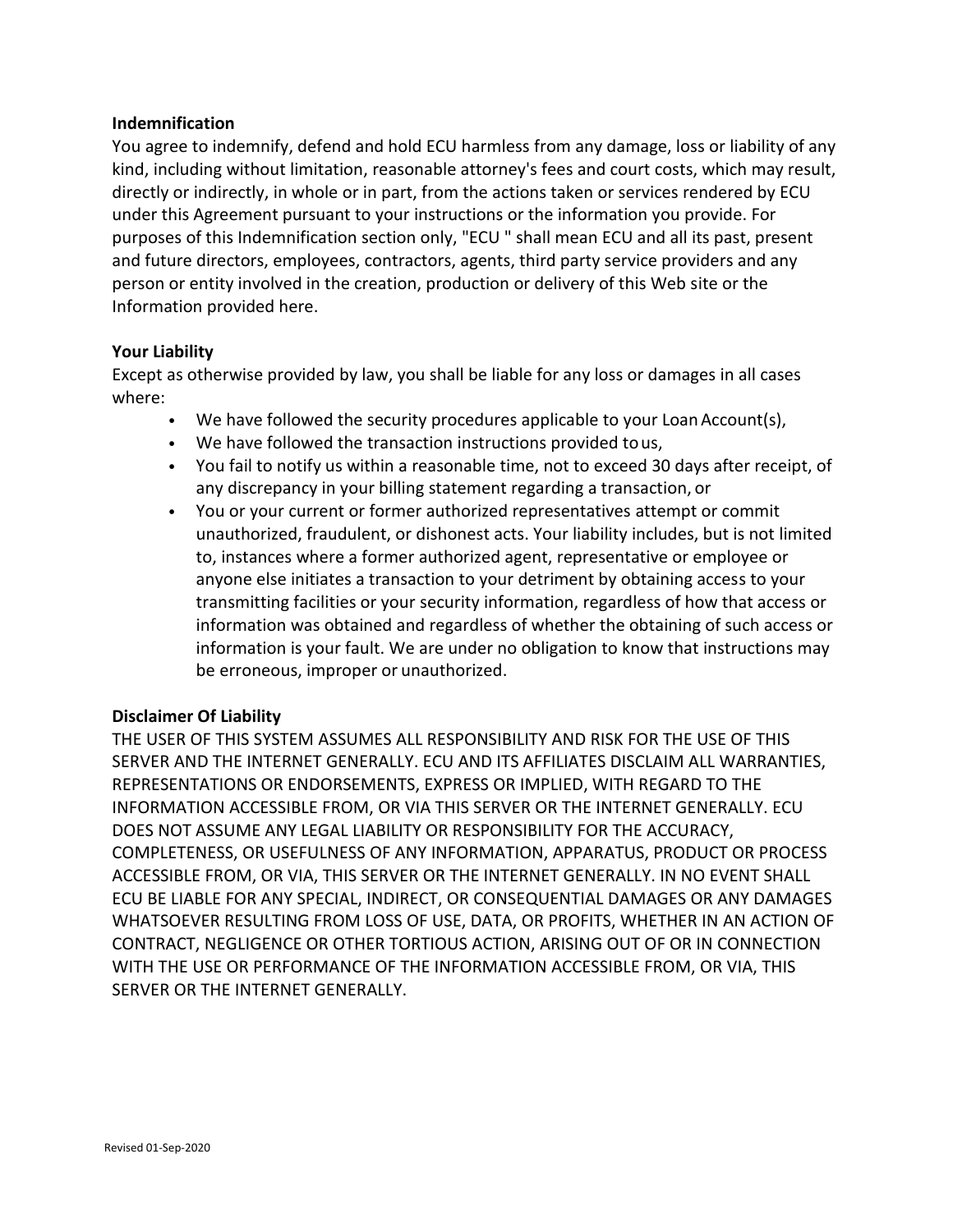## **Indemnification**

You agree to indemnify, defend and hold ECU harmless from any damage, loss or liability of any kind, including without limitation, reasonable attorney's fees and court costs, which may result, directly or indirectly, in whole or in part, from the actions taken or services rendered by ECU under this Agreement pursuant to your instructions or the information you provide. For purposes of this Indemnification section only, "ECU " shall mean ECU and all its past, present and future directors, employees, contractors, agents, third party service providers and any person or entity involved in the creation, production or delivery of this Web site or the Information provided here.

## **Your Liability**

Except as otherwise provided by law, you shall be liable for any loss or damages in all cases where:

- We have followed the security procedures applicable to your Loan Account(s),
- We have followed the transaction instructions provided to us,
- You fail to notify us within a reasonable time, not to exceed 30 days after receipt, of any discrepancy in your billing statement regarding a transaction, or
- You or your current or former authorized representatives attempt or commit unauthorized, fraudulent, or dishonest acts. Your liability includes, but is not limited to, instances where a former authorized agent, representative or employee or anyone else initiates a transaction to your detriment by obtaining access to your transmitting facilities or your security information, regardless of how that access or information was obtained and regardless of whether the obtaining of such access or information is your fault. We are under no obligation to know that instructions may be erroneous, improper or unauthorized.

#### **Disclaimer Of Liability**

THE USER OF THIS SYSTEM ASSUMES ALL RESPONSIBILITY AND RISK FOR THE USE OF THIS SERVER AND THE INTERNET GENERALLY. ECU AND ITS AFFILIATES DISCLAIM ALL WARRANTIES, REPRESENTATIONS OR ENDORSEMENTS, EXPRESS OR IMPLIED, WITH REGARD TO THE INFORMATION ACCESSIBLE FROM, OR VIA THIS SERVER OR THE INTERNET GENERALLY. ECU DOES NOT ASSUME ANY LEGAL LIABILITY OR RESPONSIBILITY FOR THE ACCURACY, COMPLETENESS, OR USEFULNESS OF ANY INFORMATION, APPARATUS, PRODUCT OR PROCESS ACCESSIBLE FROM, OR VIA, THIS SERVER OR THE INTERNET GENERALLY. IN NO EVENT SHALL ECU BE LIABLE FOR ANY SPECIAL, INDIRECT, OR CONSEQUENTIAL DAMAGES OR ANY DAMAGES WHATSOEVER RESULTING FROM LOSS OF USE, DATA, OR PROFITS, WHETHER IN AN ACTION OF CONTRACT, NEGLIGENCE OR OTHER TORTIOUS ACTION, ARISING OUT OF OR IN CONNECTION WITH THE USE OR PERFORMANCE OF THE INFORMATION ACCESSIBLE FROM, OR VIA, THIS SERVER OR THE INTERNET GENERALLY.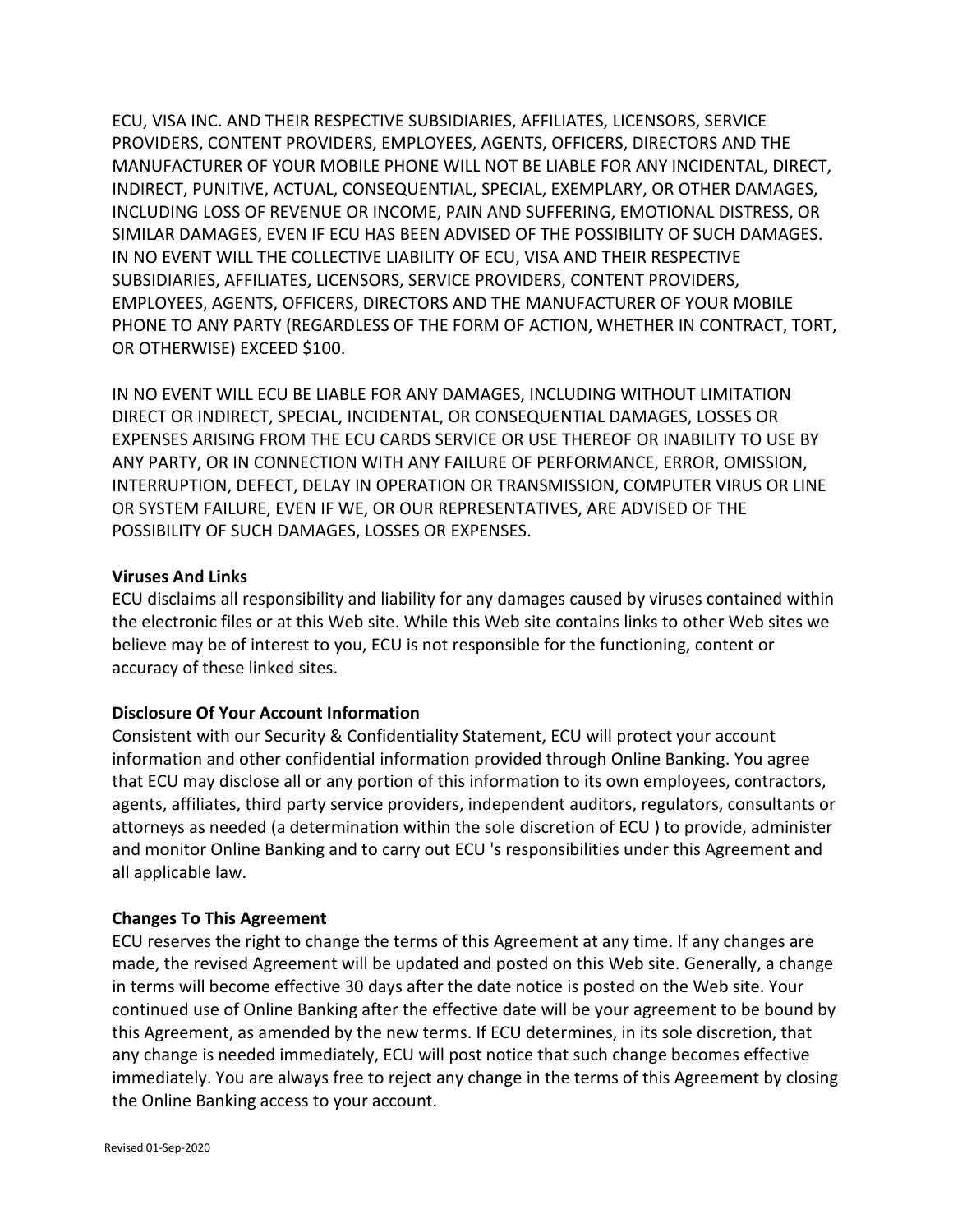ECU, VISA INC. AND THEIR RESPECTIVE SUBSIDIARIES, AFFILIATES, LICENSORS, SERVICE PROVIDERS, CONTENT PROVIDERS, EMPLOYEES, AGENTS, OFFICERS, DIRECTORS AND THE MANUFACTURER OF YOUR MOBILE PHONE WILL NOT BE LIABLE FOR ANY INCIDENTAL, DIRECT, INDIRECT, PUNITIVE, ACTUAL, CONSEQUENTIAL, SPECIAL, EXEMPLARY, OR OTHER DAMAGES, INCLUDING LOSS OF REVENUE OR INCOME, PAIN AND SUFFERING, EMOTIONAL DISTRESS, OR SIMILAR DAMAGES, EVEN IF ECU HAS BEEN ADVISED OF THE POSSIBILITY OF SUCH DAMAGES. IN NO EVENT WILL THE COLLECTIVE LIABILITY OF ECU, VISA AND THEIR RESPECTIVE SUBSIDIARIES, AFFILIATES, LICENSORS, SERVICE PROVIDERS, CONTENT PROVIDERS, EMPLOYEES, AGENTS, OFFICERS, DIRECTORS AND THE MANUFACTURER OF YOUR MOBILE PHONE TO ANY PARTY (REGARDLESS OF THE FORM OF ACTION, WHETHER IN CONTRACT, TORT, OR OTHERWISE) EXCEED \$100.

IN NO EVENT WILL ECU BE LIABLE FOR ANY DAMAGES, INCLUDING WITHOUT LIMITATION DIRECT OR INDIRECT, SPECIAL, INCIDENTAL, OR CONSEQUENTIAL DAMAGES, LOSSES OR EXPENSES ARISING FROM THE ECU CARDS SERVICE OR USE THEREOF OR INABILITY TO USE BY ANY PARTY, OR IN CONNECTION WITH ANY FAILURE OF PERFORMANCE, ERROR, OMISSION, INTERRUPTION, DEFECT, DELAY IN OPERATION OR TRANSMISSION, COMPUTER VIRUS OR LINE OR SYSTEM FAILURE, EVEN IF WE, OR OUR REPRESENTATIVES, ARE ADVISED OF THE POSSIBILITY OF SUCH DAMAGES, LOSSES OR EXPENSES.

## **Viruses And Links**

ECU disclaims all responsibility and liability for any damages caused by viruses contained within the electronic files or at this Web site. While this Web site contains links to other Web sites we believe may be of interest to you, ECU is not responsible for the functioning, content or accuracy of these linked sites.

## **Disclosure Of Your Account Information**

Consistent with our Security & Confidentiality Statement, ECU will protect your account information and other confidential information provided through Online Banking. You agree that ECU may disclose all or any portion of this information to its own employees, contractors, agents, affiliates, third party service providers, independent auditors, regulators, consultants or attorneys as needed (a determination within the sole discretion of ECU ) to provide, administer and monitor Online Banking and to carry out ECU 's responsibilities under this Agreement and all applicable law.

#### **Changes To This Agreement**

ECU reserves the right to change the terms of this Agreement at any time. If any changes are made, the revised Agreement will be updated and posted on this Web site. Generally, a change in terms will become effective 30 days after the date notice is posted on the Web site. Your continued use of Online Banking after the effective date will be your agreement to be bound by this Agreement, as amended by the new terms. If ECU determines, in its sole discretion, that any change is needed immediately, ECU will post notice that such change becomes effective immediately. You are always free to reject any change in the terms of this Agreement by closing the Online Banking access to your account.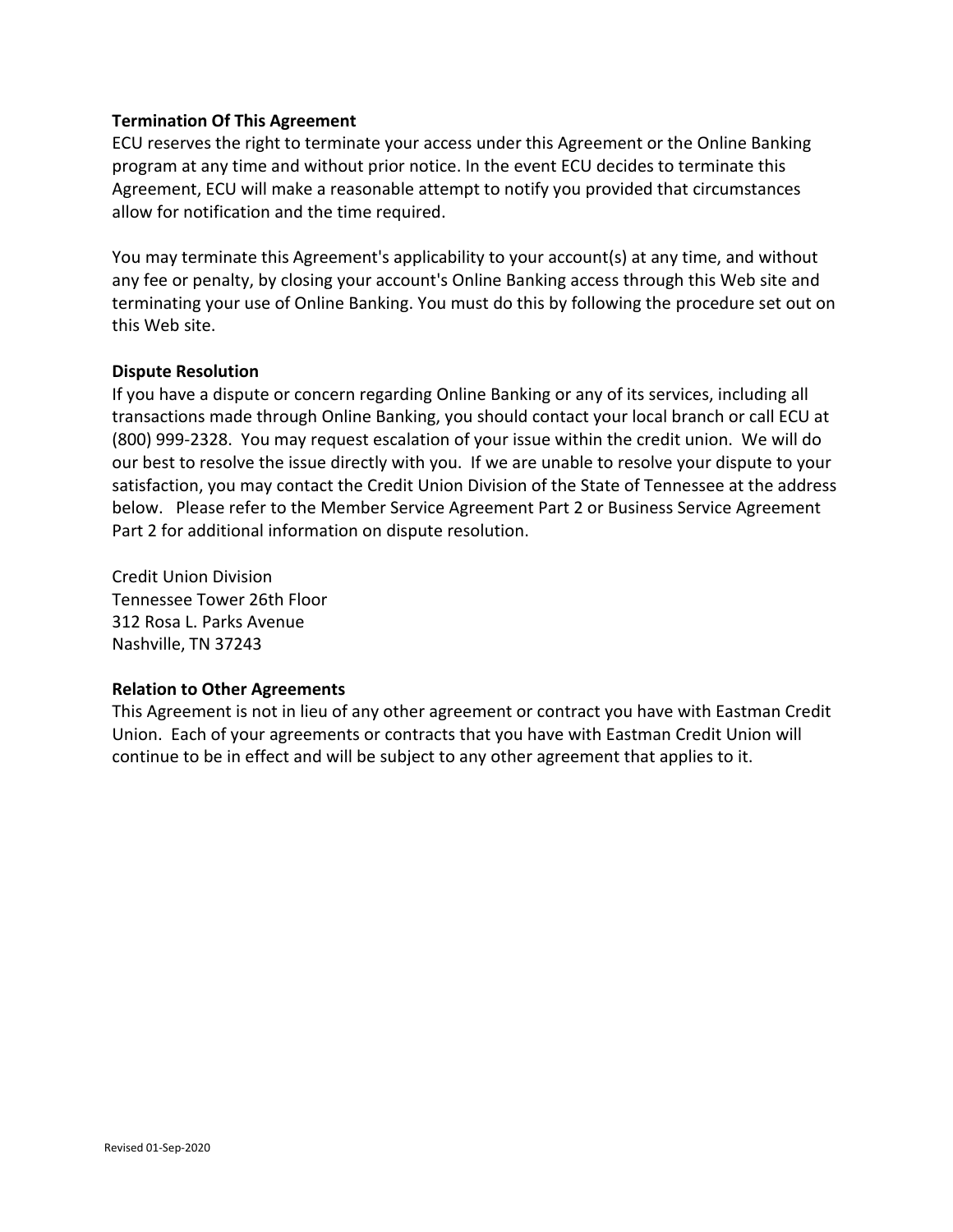### **Termination Of This Agreement**

ECU reserves the right to terminate your access under this Agreement or the Online Banking program at any time and without prior notice. In the event ECU decides to terminate this Agreement, ECU will make a reasonable attempt to notify you provided that circumstances allow for notification and the time required.

You may terminate this Agreement's applicability to your account(s) at any time, and without any fee or penalty, by closing your account's Online Banking access through this Web site and terminating your use of Online Banking. You must do this by following the procedure set out on this Web site.

## **Dispute Resolution**

If you have a dispute or concern regarding Online Banking or any of its services, including all transactions made through Online Banking, you should contact your local branch or call ECU at (800) 999-2328. You may request escalation of your issue within the credit union. We will do our best to resolve the issue directly with you. If we are unable to resolve your dispute to your satisfaction, you may contact the Credit Union Division of the State of Tennessee at the address below. Please refer to the Member Service Agreement Part 2 or Business Service Agreement Part 2 for additional information on dispute resolution.

Credit Union Division Tennessee Tower 26th Floor 312 Rosa L. Parks Avenue Nashville, TN 37243

#### **Relation to Other Agreements**

This Agreement is not in lieu of any other agreement or contract you have with Eastman Credit Union. Each of your agreements or contracts that you have with Eastman Credit Union will continue to be in effect and will be subject to any other agreement that applies to it.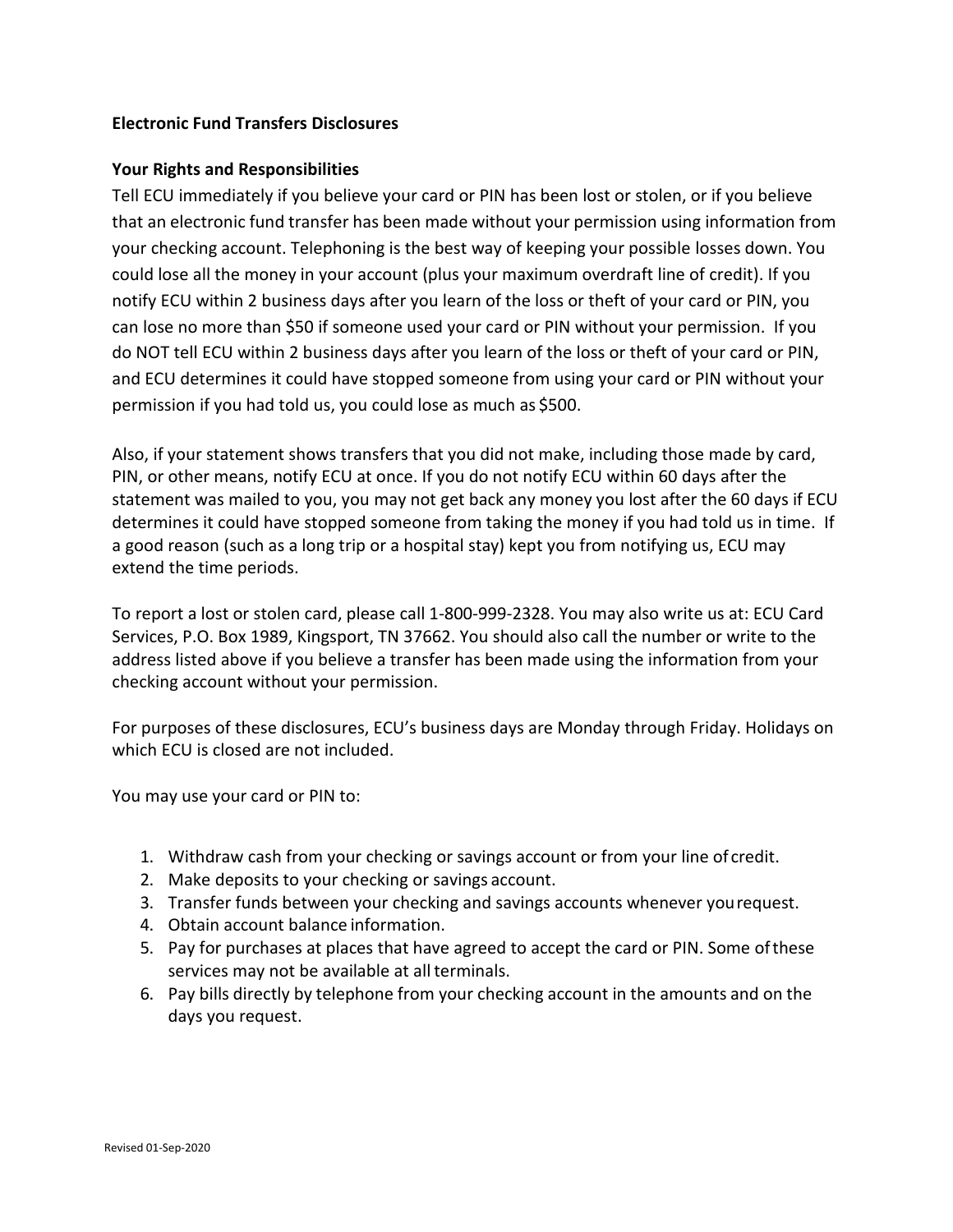## **Electronic Fund Transfers Disclosures**

## **Your Rights and Responsibilities**

Tell ECU immediately if you believe your card or PIN has been lost or stolen, or if you believe that an electronic fund transfer has been made without your permission using information from your checking account. Telephoning is the best way of keeping your possible losses down. You could lose all the money in your account (plus your maximum overdraft line of credit). If you notify ECU within 2 business days after you learn of the loss or theft of your card or PIN, you can lose no more than \$50 if someone used your card or PIN without your permission. If you do NOT tell ECU within 2 business days after you learn of the loss or theft of your card or PIN, and ECU determines it could have stopped someone from using your card or PIN without your permission if you had told us, you could lose as much as \$500.

Also, if your statement shows transfers that you did not make, including those made by card, PIN, or other means, notify ECU at once. If you do not notify ECU within 60 days after the statement was mailed to you, you may not get back any money you lost after the 60 days if ECU determines it could have stopped someone from taking the money if you had told us in time. If a good reason (such as a long trip or a hospital stay) kept you from notifying us, ECU may extend the time periods.

To report a lost or stolen card, please call 1-800-999-2328. You may also write us at: ECU Card Services, P.O. Box 1989, Kingsport, TN 37662. You should also call the number or write to the address listed above if you believe a transfer has been made using the information from your checking account without your permission.

For purposes of these disclosures, ECU's business days are Monday through Friday. Holidays on which ECU is closed are not included.

You may use your card or PIN to:

- 1. Withdraw cash from your checking or savings account or from your line of credit.
- 2. Make deposits to your checking or savings account.
- 3. Transfer funds between your checking and savings accounts whenever you request.
- 4. Obtain account balance information.
- 5. Pay for purchases at places that have agreed to accept the card or PIN. Some of these services may not be available at all terminals.
- 6. Pay bills directly by telephone from your checking account in the amounts and on the days you request.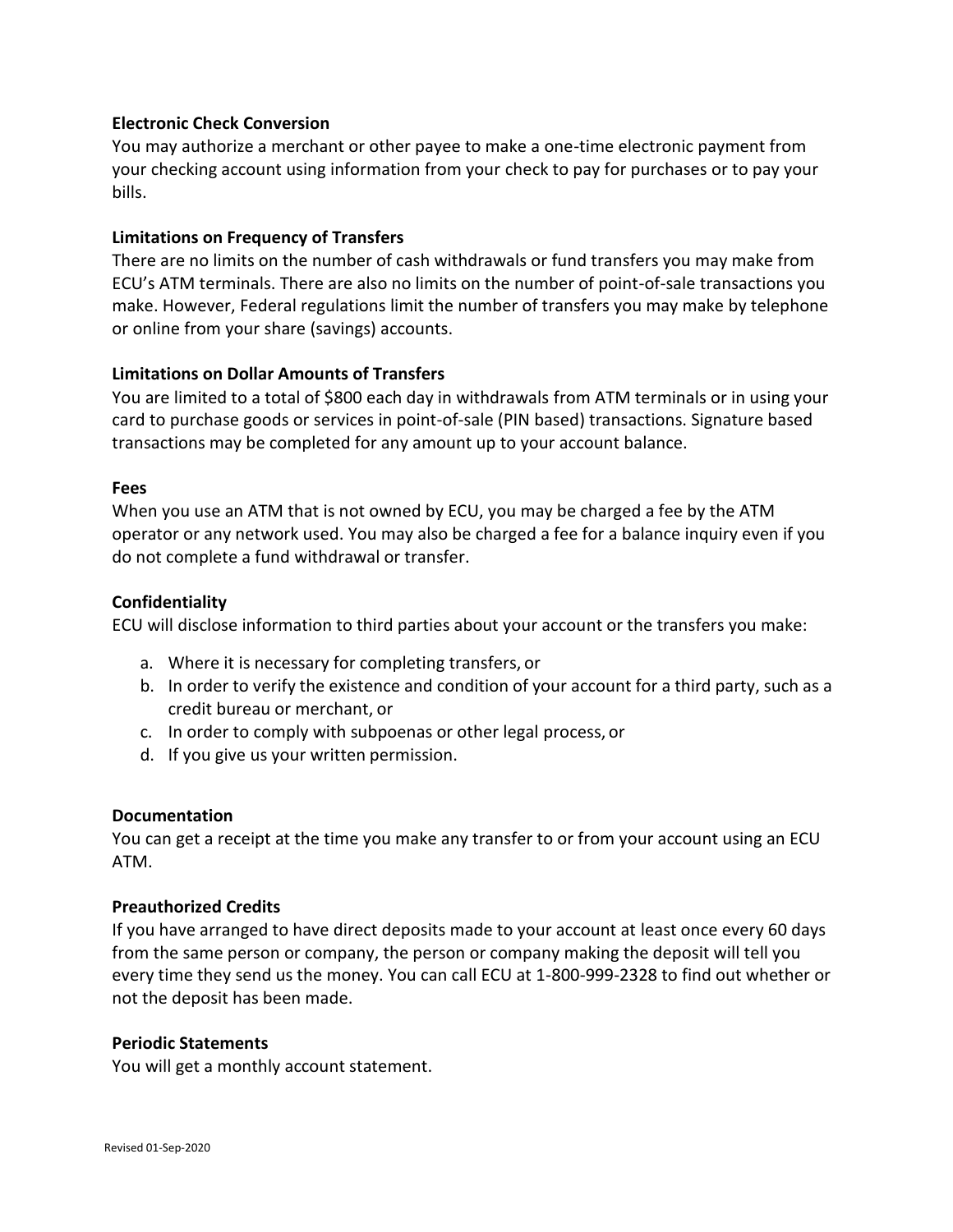## **Electronic Check Conversion**

You may authorize a merchant or other payee to make a one-time electronic payment from your checking account using information from your check to pay for purchases or to pay your bills.

### **Limitations on Frequency of Transfers**

There are no limits on the number of cash withdrawals or fund transfers you may make from ECU's ATM terminals. There are also no limits on the number of point-of-sale transactions you make. However, Federal regulations limit the number of transfers you may make by telephone or online from your share (savings) accounts.

## **Limitations on Dollar Amounts of Transfers**

You are limited to a total of \$800 each day in withdrawals from ATM terminals or in using your card to purchase goods or services in point-of-sale (PIN based) transactions. Signature based transactions may be completed for any amount up to your account balance.

## **Fees**

When you use an ATM that is not owned by ECU, you may be charged a fee by the ATM operator or any network used. You may also be charged a fee for a balance inquiry even if you do not complete a fund withdrawal or transfer.

## **Confidentiality**

ECU will disclose information to third parties about your account or the transfers you make:

- a. Where it is necessary for completing transfers, or
- b. In order to verify the existence and condition of your account for a third party, such as a credit bureau or merchant, or
- c. In order to comply with subpoenas or other legal process, or
- d. If you give us your written permission.

#### **Documentation**

You can get a receipt at the time you make any transfer to or from your account using an ECU ATM.

#### **Preauthorized Credits**

If you have arranged to have direct deposits made to your account at least once every 60 days from the same person or company, the person or company making the deposit will tell you every time they send us the money. You can call ECU at 1-800-999-2328 to find out whether or not the deposit has been made.

#### **Periodic Statements**

You will get a monthly account statement.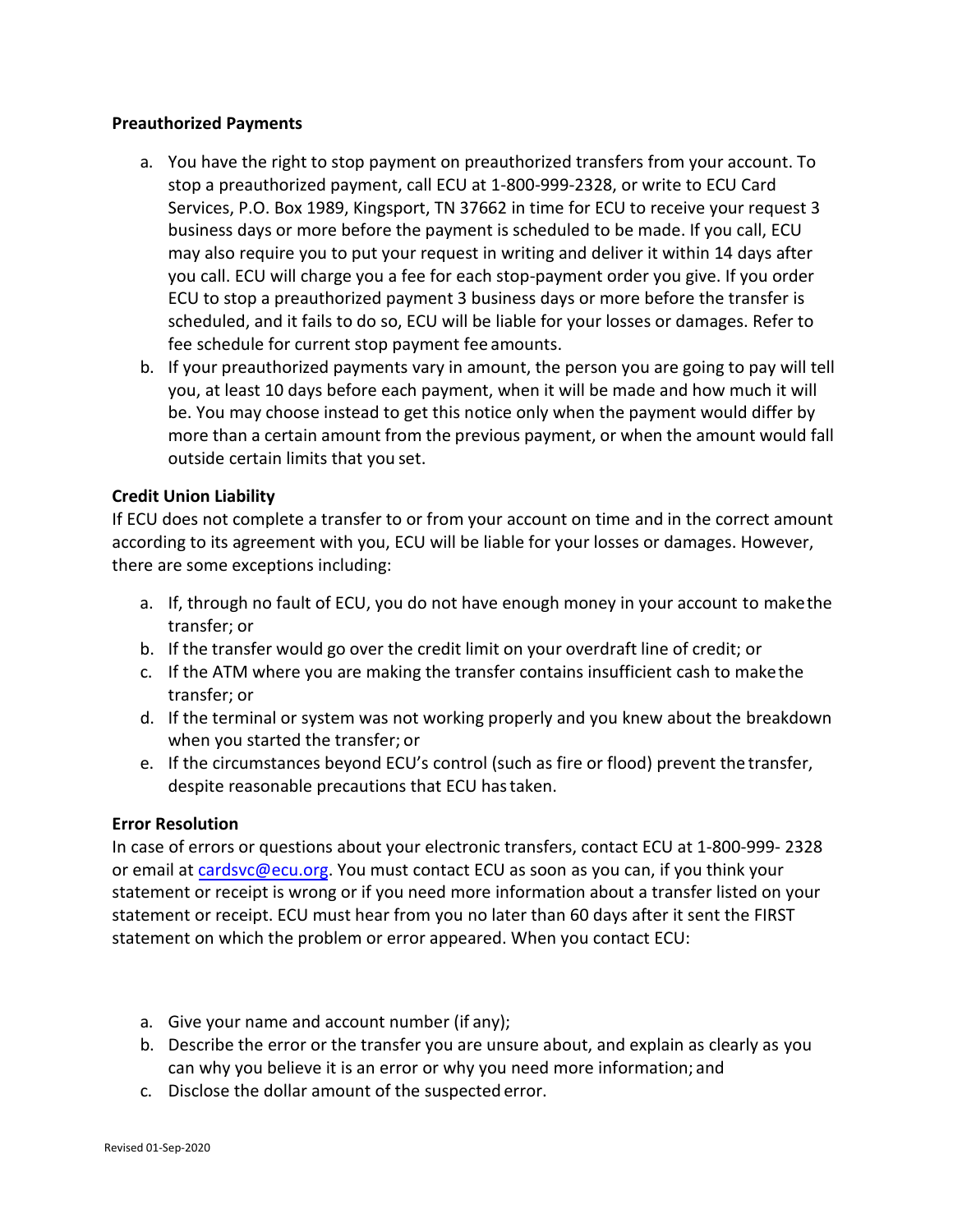## **Preauthorized Payments**

- a. You have the right to stop payment on preauthorized transfers from your account. To stop a preauthorized payment, call ECU at 1-800-999-2328, or write to ECU Card Services, P.O. Box 1989, Kingsport, TN 37662 in time for ECU to receive your request 3 business days or more before the payment is scheduled to be made. If you call, ECU may also require you to put your request in writing and deliver it within 14 days after you call. ECU will charge you a fee for each stop-payment order you give. If you order ECU to stop a preauthorized payment 3 business days or more before the transfer is scheduled, and it fails to do so, ECU will be liable for your losses or damages. Refer to fee schedule for current stop payment fee amounts.
- b. If your preauthorized payments vary in amount, the person you are going to pay will tell you, at least 10 days before each payment, when it will be made and how much it will be. You may choose instead to get this notice only when the payment would differ by more than a certain amount from the previous payment, or when the amount would fall outside certain limits that you set.

## **Credit Union Liability**

If ECU does not complete a transfer to or from your account on time and in the correct amount according to its agreement with you, ECU will be liable for your losses or damages. However, there are some exceptions including:

- a. If, through no fault of ECU, you do not have enough money in your account to make the transfer; or
- b. If the transfer would go over the credit limit on your overdraft line of credit; or
- c. If the ATM where you are making the transfer contains insufficient cash to make the transfer; or
- d. If the terminal or system was not working properly and you knew about the breakdown when you started the transfer; or
- e. If the circumstances beyond ECU's control (such as fire or flood) prevent the transfer, despite reasonable precautions that ECU has taken.

#### **Error Resolution**

In case of errors or questions about your electronic transfers, contact ECU at 1-800-999- 2328 or email at cardsvc[@ecu.org.](mailto:ecenter@ecu.org) You must contact ECU as soon as you can, if you think your statement or receipt is wrong or if you need more information about a transfer listed on your statement or receipt. ECU must hear from you no later than 60 days after it sent the FIRST statement on which the problem or error appeared. When you contact ECU:

- a. Give your name and account number (if any);
- b. Describe the error or the transfer you are unsure about, and explain as clearly as you can why you believe it is an error or why you need more information; and
- c. Disclose the dollar amount of the suspected error.